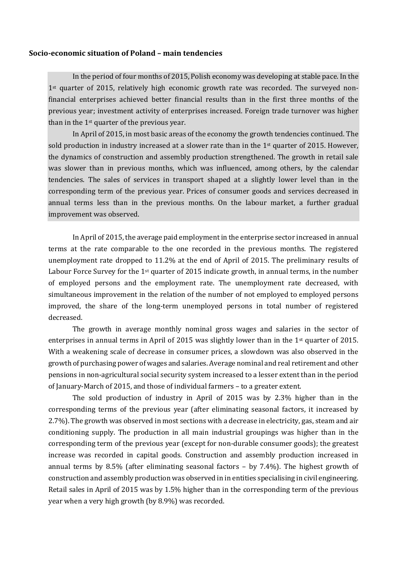## **Socio-economic situation of Poland – main tendencies**

In the period of four months of 2015, Polish economy was developing at stable pace. In the 1st quarter of 2015, relatively high economic growth rate was recorded. The surveyed nonfinancial enterprises achieved better financial results than in the first three months of the previous year; investment activity of enterprises increased. Foreign trade turnover was higher than in the 1st quarter of the previous year.

In April of 2015, in most basic areas of the economy the growth tendencies continued. The sold production in industry increased at a slower rate than in the 1<sup>st</sup> quarter of 2015. However, the dynamics of construction and assembly production strengthened. The growth in retail sale was slower than in previous months, which was influenced, among others, by the calendar tendencies. The sales of services in transport shaped at a slightly lower level than in the corresponding term of the previous year. Prices of consumer goods and services decreased in annual terms less than in the previous months. On the labour market, a further gradual improvement was observed.

In April of 2015, the average paid employment in the enterprise sector increased in annual terms at the rate comparable to the one recorded in the previous months. The registered unemployment rate dropped to 11.2% at the end of April of 2015. The preliminary results of Labour Force Survey for the 1<sup>st</sup> quarter of 2015 indicate growth, in annual terms, in the number of employed persons and the employment rate. The unemployment rate decreased, with simultaneous improvement in the relation of the number of not employed to employed persons improved, the share of the long-term unemployed persons in total number of registered decreased.

The growth in average monthly nominal gross wages and salaries in the sector of enterprises in annual terms in April of 2015 was slightly lower than in the 1st quarter of 2015. With a weakening scale of decrease in consumer prices, a slowdown was also observed in the growth of purchasing power of wages and salaries. Average nominal and real retirement and other pensions in non-agricultural social security system increased to a lesser extent than in the period of January-March of 2015, and those of individual farmers – to a greater extent.

The sold production of industry in April of 2015 was by 2.3% higher than in the corresponding terms of the previous year (after eliminating seasonal factors, it increased by 2.7%). The growth was observed in most sections with a decrease in electricity, gas, steam and air conditioning supply. The production in all main industrial groupings was higher than in the corresponding term of the previous year (except for non-durable consumer goods); the greatest increase was recorded in capital goods. Construction and assembly production increased in annual terms by 8.5% (after eliminating seasonal factors – by 7.4%). The highest growth of construction and assembly production was observed in in entities specialising in civil engineering. Retail sales in April of 2015 was by 1.5% higher than in the corresponding term of the previous year when a very high growth (by 8.9%) was recorded.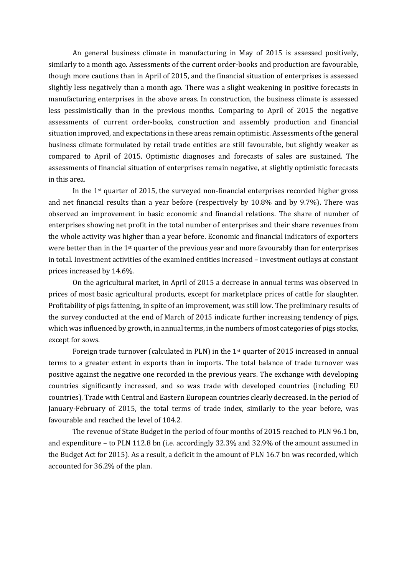An general business climate in manufacturing in May of 2015 is assessed positively, similarly to a month ago. Assessments of the current order-books and production are favourable, though more cautions than in April of 2015, and the financial situation of enterprises is assessed slightly less negatively than a month ago. There was a slight weakening in positive forecasts in manufacturing enterprises in the above areas. In construction, the business climate is assessed less pessimistically than in the previous months. Comparing to April of 2015 the negative assessments of current order-books, construction and assembly production and financial situation improved, and expectations in these areas remain optimistic. Assessments of the general business climate formulated by retail trade entities are still favourable, but slightly weaker as compared to April of 2015. Optimistic diagnoses and forecasts of sales are sustained. The assessments of financial situation of enterprises remain negative, at slightly optimistic forecasts in this area.

In the 1st quarter of 2015, the surveyed non-financial enterprises recorded higher gross and net financial results than a year before (respectively by 10.8% and by 9.7%). There was observed an improvement in basic economic and financial relations. The share of number of enterprises showing net profit in the total number of enterprises and their share revenues from the whole activity was higher than a year before. Economic and financial indicators of exporters were better than in the 1<sup>st</sup> quarter of the previous year and more favourably than for enterprises in total. Investment activities of the examined entities increased – investment outlays at constant prices increased by 14.6%.

On the agricultural market, in April of 2015 a decrease in annual terms was observed in prices of most basic agricultural products, except for marketplace prices of cattle for slaughter. Profitability of pigs fattening, in spite of an improvement, was still low. The preliminary results of the survey conducted at the end of March of 2015 indicate further increasing tendency of pigs, which was influenced by growth, in annual terms, in the numbers of most categories of pigs stocks, except for sows.

Foreign trade turnover (calculated in PLN) in the 1<sup>st</sup> quarter of 2015 increased in annual terms to a greater extent in exports than in imports. The total balance of trade turnover was positive against the negative one recorded in the previous years. The exchange with developing countries significantly increased, and so was trade with developed countries (including EU countries). Trade with Central and Eastern European countries clearly decreased. In the period of January-February of 2015, the total terms of trade index, similarly to the year before, was favourable and reached the level of 104.2.

The revenue of State Budget in the period of four months of 2015 reached to PLN 96.1 bn, and expenditure – to PLN 112.8 bn (i.e. accordingly 32.3% and 32.9% of the amount assumed in the Budget Act for 2015). As a result, a deficit in the amount of PLN 16.7 bn was recorded, which accounted for 36.2% of the plan.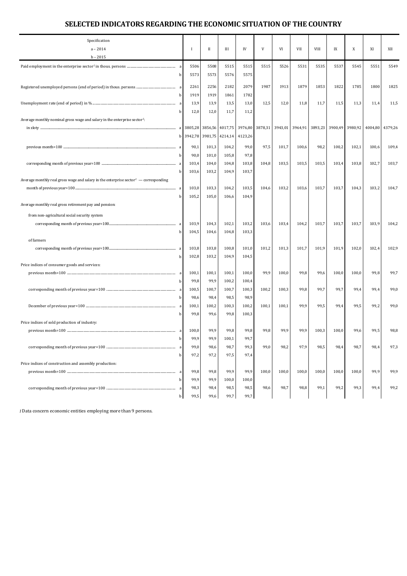## **SELECTED INDICATORS REGARDING THE ECONOMIC SITUATION OF THE COUNTRY**

| Specification<br>$a - 2014$<br>$b - 2015$                                                        | -1           | П            | Ш               | IV           | V     | VI              | VII   | <b>VIII</b>     | IX      | X       | XI    | XII             |
|--------------------------------------------------------------------------------------------------|--------------|--------------|-----------------|--------------|-------|-----------------|-------|-----------------|---------|---------|-------|-----------------|
|                                                                                                  | 5506         | 5508         | 5515            | 5515         | 5515  | 5526            | 5531  | 5535            | 5537    | 5545    | 5551  | 5549            |
|                                                                                                  | 5573         | 5573         | 5576            | 5575         |       |                 |       |                 |         |         |       |                 |
|                                                                                                  |              |              |                 |              |       |                 |       |                 |         |         |       |                 |
|                                                                                                  | 2261<br>1919 | 2256<br>1919 | 2182<br>1861    | 2079         | 1987  | 1913            | 1879  | 1853            | 1822    | 1785    | 1800  | 1825            |
|                                                                                                  | 13,9         | 13,9         | 13,5            | 1782<br>13,0 | 12,5  | 12,0            | 11,8  | 11,7            | 11,5    | 11,3    | 11,4  | 11,5            |
|                                                                                                  | 12,0<br>b    | 12,0         | 11,7            | 11,2         |       |                 |       |                 |         |         |       |                 |
| Average monthly nominal gross wage and salary in the enterprise sector <sup>1</sup> :            |              |              |                 |              |       |                 |       |                 |         |         |       |                 |
|                                                                                                  |              |              | 3856,56 4017,75 | 3976,80      |       | 3878,31 3943,01 |       | 3964,91 3893,23 | 3900,49 | 3980,92 |       | 4004,80 4379,26 |
|                                                                                                  | 3942,78<br>b | 3981,75      | 4214,14         | 4123,26      |       |                 |       |                 |         |         |       |                 |
|                                                                                                  | 90,1<br>a    | 101,3        | 104,2           | 99,0         | 97,5  | 101,7           | 100,6 | 98,2            | 100,2   | 102,1   | 100,6 | 109,4           |
|                                                                                                  | 90,0         | 101,0        | 105,8           | 97,8         |       |                 |       |                 |         |         |       |                 |
|                                                                                                  | 103,4        | 104,0        | 104,8           | 103,8        | 104,8 | 103,5           | 103,5 | 103,5           | 103,4   | 103,8   | 102,7 | 103,7           |
|                                                                                                  | 103,6        | 103,2        | 104,9           | 103,7        |       |                 |       |                 |         |         |       |                 |
| Average monthly real gross wage and salary in the enterprise sector <sup>1</sup> — corresponding |              |              |                 |              |       |                 |       |                 |         |         |       |                 |
|                                                                                                  | 103,0<br>a   | 103,3        | 104,2           | 103,5        | 104,6 | 103,2           | 103,6 | 103,7           | 103,7   | 104,3   | 103,2 | 104,7           |
| Average monthly real gross retirement pay and pension:                                           | 105,2        | 105,0        | 106,6           | 104,9        |       |                 |       |                 |         |         |       |                 |
|                                                                                                  |              |              |                 |              |       |                 |       |                 |         |         |       |                 |
| from non-agricultural social security system                                                     |              |              |                 |              |       |                 |       |                 |         |         |       |                 |
|                                                                                                  | a<br>103,9   | 104,3        | 102,1           | 103,2        | 103,6 | 103,4           | 104,2 | 103,7           | 103,7   | 103,7   | 103,9 | 104,2           |
| of farmers                                                                                       | 104,5        | 104,6        | 104,8           | 103,3        |       |                 |       |                 |         |         |       |                 |
|                                                                                                  | 103,8        | 103,8        | 100,8           | 101,0        | 101,2 | 101,3           | 101,7 | 101,9           | 101,9   | 102,0   | 102,4 | 102,9           |
|                                                                                                  | 102,8        | 103,2        | 104,9           | 104,5        |       |                 |       |                 |         |         |       |                 |
| Price indices of consumer goods and services:                                                    |              |              |                 |              |       |                 |       |                 |         |         |       |                 |
|                                                                                                  | 100,1        | 100,1        | 100,1           | 100,0        | 99,9  | 100,0           | 99,8  | 99,6            | 100,0   | 100,0   | 99,8  | 99,7            |
|                                                                                                  | 99,8         | 99,9         | 100,2           | 100,4        |       |                 |       |                 |         |         |       |                 |
|                                                                                                  | 100,5        | 100,7        | 100,7           | 100,3        | 100,2 | 100,3           | 99,8  | 99,7            | 99,7    | 99,4    | 99,4  | 99,0            |
|                                                                                                  | 98,6         | 98,4         | 98,5            | 98,9         |       |                 |       |                 |         |         |       |                 |
|                                                                                                  | 100,1        | 100,2        | 100,3           | 100,2        | 100,1 | 100,1           | 99,9  | 99,5            | 99,4    | 99,5    | 99,2  | 99,0            |
| Price indices of sold production of industry:                                                    | 99,8         | 99,6         | 99,8            | 100,3        |       |                 |       |                 |         |         |       |                 |
|                                                                                                  | 100,0        | 99,9         | 99,8            | 99,8         | 99,8  | 99,9            | 99,9  | 100,3           | 100,0   | 99,6    | 99,5  | 98,8            |
|                                                                                                  | 99,9<br>b    | 99,9         | 100,1           | 99,7         |       |                 |       |                 |         |         |       |                 |
|                                                                                                  | 99,0         | 98,6         | 98,7            | 99,3         | 99,0  | 98,2            | 97,9  | 98,5            | 98,4    | 98,7    | 98,4  | 97,3            |
|                                                                                                  | 97,2<br>h    | 97,2         | 97,5            | 97,4         |       |                 |       |                 |         |         |       |                 |
| Price indices of construction and assembly production:                                           |              |              |                 |              |       |                 |       |                 |         |         |       |                 |
|                                                                                                  | 99,8<br>a    | 99,8         | 99,9            | 99,9         | 100,0 | 100,0           | 100,0 | 100,0           | 100,0   | 100,0   | 99,9  | 99,9            |
|                                                                                                  | 99,9<br>h    | 99,9         | 100,0           | 100,0        |       |                 |       |                 |         |         |       |                 |
|                                                                                                  | 98,3<br>a    | 98,4         | 98,5            | 98,5         | 98,6  | 98,7            | 98,8  | 99,1            | 99,2    | 99,3    | 99,4  | 99,2            |
|                                                                                                  | 99,5         | 99,6         | 99,7            | 99,7         |       |                 |       |                 |         |         |       |                 |

*1*Data concern economic entities employing more than 9 persons.